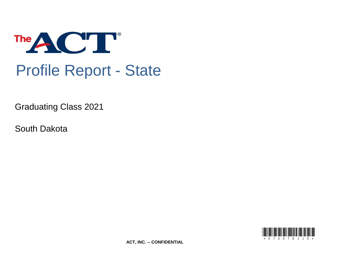

Graduating Class 2021

South Dakota

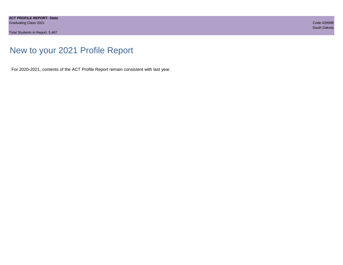### New to your 2021 Profile Report

For 2020-2021, contents of the ACT Profile Report remain consistent with last year.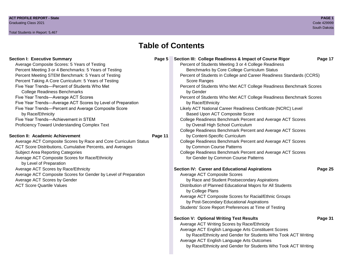### **Table of Contents**

| <b>Section I: Executive Summary</b>                             | Page 5  | Section III: College Readiness & Impact of Course Rigor              | Page 17 |
|-----------------------------------------------------------------|---------|----------------------------------------------------------------------|---------|
| Average Composite Scores: 5 Years of Testing                    |         | Percent of Students Meeting 3 or 4 College Readiness                 |         |
| Percent Meeting 3 or 4 Benchmarks: 5 Years of Testing           |         | Benchmarks by Core College Curriculum Status                         |         |
| Percent Meeting STEM Benchmark: 5 Years of Testing              |         | Percent of Students in College and Career Readiness Standards (CCRS) |         |
| Percent Taking A Core Curriculum: 5 Years of Testing            |         | Score Ranges                                                         |         |
| Five Year Trends-Percent of Students Who Met                    |         | Percent of Students Who Met ACT College Readiness Benchmark Scores   |         |
| <b>College Readiness Benchmarks</b>                             |         | by Gender                                                            |         |
| Five Year Trends-Average ACT Scores                             |         | Percent of Students Who Met ACT College Readiness Benchmark Scores   |         |
| Five Year Trends-Average ACT Scores by Level of Preparation     |         | by Race/Ethnicity                                                    |         |
| Five Year Trends-Percent and Average Composite Score            |         | Likely ACT National Career Readiness Certificate (NCRC) Level        |         |
| by Race/Ethnicity                                               |         | Based Upon ACT Composite Score                                       |         |
| Five Year Trends-Achievement in STEM                            |         | College Readiness Benchmark Percent and Average ACT Scores           |         |
| Proficiency Toward Understanding Complex Text                   |         | by Overall High School Curriculum                                    |         |
|                                                                 |         | College Readiness Benchmark Percent and Average ACT Scores           |         |
| <b>Section II: Academic Achievement</b>                         | Page 11 | by Content-Specific Curriculum                                       |         |
| Average ACT Composite Scores by Race and Core Curriculum Status |         | College Readiness Benchmark Percent and Average ACT Scores           |         |
| ACT Score Distributions, Cumulative Percents, and Averages      |         | by Common Course Patterns                                            |         |
| <b>Subject Area Reporting Categories</b>                        |         | College Readiness Benchmark Percent and Average ACT Scores           |         |
| Average ACT Composite Scores for Race/Ethnicity                 |         | for Gender by Common Course Patterns                                 |         |
| by Level of Preparation                                         |         |                                                                      |         |
| Average ACT Scores by Race/Ethnicity                            |         | <b>Section IV: Career and Educational Aspirations</b>                | Page 25 |
| Average ACT Composite Scores for Gender by Level of Preparation |         | Average ACT Composite Scores                                         |         |
| Average ACT Scores by Gender                                    |         | by Race and Student Postsecondary Aspirations                        |         |
| <b>ACT Score Quartile Values</b>                                |         | Distribution of Planned Educational Majors for All Students          |         |
|                                                                 |         | by College Plans                                                     |         |
|                                                                 |         | Average ACT Composite Scores for Racial/Ethnic Groups                |         |
|                                                                 |         | by Post-Secondary Educational Aspirations                            |         |
|                                                                 |         | Students' Score Report Preferences at Time of Testing                |         |
|                                                                 |         | <b>Section V: Optional Writing Test Results</b>                      | Page 31 |
|                                                                 |         | Average ACT Writing Scores by Race/Ethnicity                         |         |
|                                                                 |         | Average ACT English Language Arts Constituent Scores                 |         |
|                                                                 |         | by Race/Ethnicity and Gender for Students Who Took ACT Writing       |         |
|                                                                 |         | Average ACT English Language Arts Outcomes                           |         |

by Race/Ethnicity and Gender for Students Who Took ACT Writing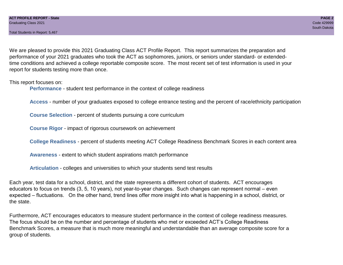We are pleased to provide this 2021 Graduating Class ACT Profile Report. This report summarizes the preparation and performance of your 2021 graduates who took the ACT as sophomores, juniors, or seniors under standard- or extendedtime conditions and achieved a college reportable composite score. The most recent set of test information is used in your report for students testing more than once.

This report focuses on:

**Performance** - student test performance in the context of college readiness

**Access** - number of your graduates exposed to college entrance testing and the percent of race/ethnicity participation

**Course Selection** - percent of students pursuing a core curriculum

**Course Rigor** - impact of rigorous coursework on achievement

**College Readiness** - percent of students meeting ACT College Readiness Benchmark Scores in each content area

**Awareness** - extent to which student aspirations match performance

**Articulation** - colleges and universities to which your students send test results

Each year, test data for a school, district, and the state represents a different cohort of students. ACT encourages educators to focus on trends (3, 5, 10 years), not year-to-year changes. Such changes can represent normal – even expected – fluctuations. On the other hand, trend lines offer more insight into what is happening in a school, district, or the state.

Furthermore, ACT encourages educators to measure student performance in the context of college readiness measures. The focus should be on the number and percentage of students who met or exceeded ACT's College Readiness Benchmark Scores, a measure that is much more meaningful and understandable than an average composite score for a group of students.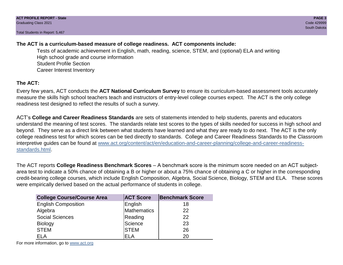### **The ACT is a curriculum-based measure of college readiness. ACT components include:**

Tests of academic achievement in English, math, reading, science, STEM, and (optional) ELA and writing High school grade and course information Student Profile Section Career Interest Inventory

### **The ACT:**

Every few years, ACT conducts the **ACT National Curriculum Survey** to ensure its curriculum-based assessment tools accurately measure the skills high school teachers teach and instructors of entry-level college courses expect. The ACT is the only college readiness test designed to reflect the results of such a survey.

ACT's **College and Career Readiness Standards** are sets of statements intended to help students, parents and educators understand the meaning of test scores. The standards relate test scores to the types of skills needed for success in high school and beyond. They serve as a direct link between what students have learned and what they are ready to do next. The ACT is the only college readiness test for which scores can be tied directly to standards. College and Career Readiness Standards to the Classroom interpretive guides can be found at www.act.org/content/act/en/education-and-career-planning/college-and-career-readinessstandards.html.

The ACT reports **College Readiness Benchmark Scores** – A benchmark score is the minimum score needed on an ACT subjectarea test to indicate a 50% chance of obtaining a B or higher or about a 75% chance of obtaining a C or higher in the corresponding credit-bearing college courses, which include English Composition, Algebra, Social Science, Biology, STEM and ELA. These scores were empirically derived based on the actual performance of students in college.

| <b>College Course/Course Area</b> | <b>ACT Score</b>   | <b>Benchmark Score</b> |
|-----------------------------------|--------------------|------------------------|
| <b>English Composition</b>        | English            | 18                     |
| Algebra                           | <b>Mathematics</b> | 22                     |
| <b>Social Sciences</b>            | Reading            | 22                     |
| <b>Biology</b>                    | Science            | 23                     |
| <b>STEM</b>                       | <b>STEM</b>        | 26                     |
| FI A                              | ELA                | 20                     |

For more information, go to www.act.org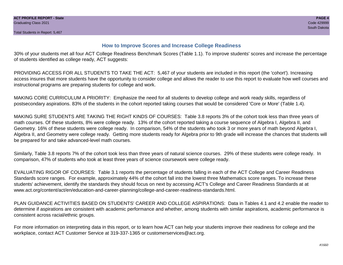#### **How to Improve Scores and Increase College Readiness**

30% of your students met all four ACT College Readiness Benchmark Scores (Table 1.1). To improve students' scores and increase the percentage of students identified as college ready, ACT suggests:

PROVIDING ACCESS FOR ALL STUDENTS TO TAKE THE ACT: 5,467 of your students are included in this report (the 'cohort'). Increasing access insures that more students have the opportunity to consider college and allows the reader to use this report to evaluate how well courses and instructional programs are preparing students for college and work.

MAKING CORE CURRICULUM A PRIORITY: Emphasize the need for all students to develop college and work ready skills, regardless of postsecondary aspirations. 83% of the students in the cohort reported taking courses that would be considered 'Core or More' (Table 1.4).

MAKING SURE STUDENTS ARE TAKING THE RIGHT KINDS OF COURSES: Table 3.8 reports 3% of the cohort took less than three years of math courses. Of these students, 8% were college ready. 13% of the cohort reported taking a course sequence of Algebra I, Algebra II, and Geometry. 16% of these students were college ready. In comparison, 54% of the students who took 3 or more years of math beyond Algebra I, Algebra II, and Geometry were college ready. Getting more students ready for Algebra prior to 9th grade will increase the chances that students will be prepared for and take advanced-level math courses.

Similarly, Table 3.8 reports 7% of the cohort took less than three years of natural science courses. 29% of these students were college ready. In comparison, 47% of students who took at least three years of science coursework were college ready.

EVALUATING RIGOR OF COURSES: Table 3.1 reports the percentage of students falling in each of the ACT College and Career Readiness Standards score ranges. For example, approximately 44% of the cohort fall into the lowest three Mathematics score ranges. To increase these students' achievement, identify the standards they should focus on next by accessing ACT's College and Career Readiness Standards at at www.act.org/content/act/en/education-and-career-planning/college-and-career-readiness-standards.html.

PLAN GUIDANCE ACTIVITIES BASED ON STUDENTS' CAREER AND COLLEGE ASPIRATIONS: Data in Tables 4.1 and 4.2 enable the reader to determine if aspirations are consistent with academic performance and whether, among students with similar aspirations, academic performance is consistent across racial/ethnic groups.

For more information on interpreting data in this report, or to learn how ACT can help your students improve their readiness for college and the workplace, contact ACT Customer Service at 319-337-1365 or customerservices@act.org.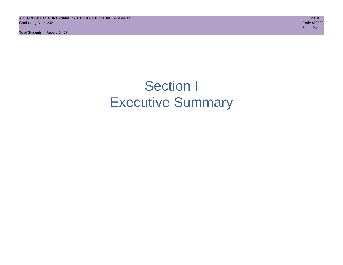## Section I Executive Summary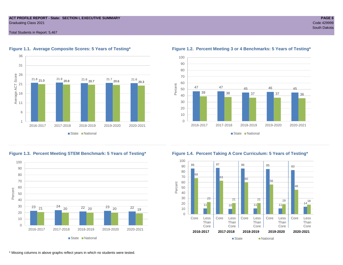#### **ACT PROFILE REPORT - State: SECTION I, EXECUTIVE SUMMARY PAGE 6** Graduating Class 2021 Code 429999

#### Total Students in Report: 5,467



#### **Figure 1.1. Average Composite Scores: 5 Years of Testing\* Figure 1.2. Percent Meeting 3 or 4 Benchmarks: 5 Years of Testing\***



#### **Figure 1.3. Percent Meeting STEM Benchmark: 5 Years of Testing\* Figure 1.4. Percent Taking A Core Curriculum: 5 Years of Testing\***



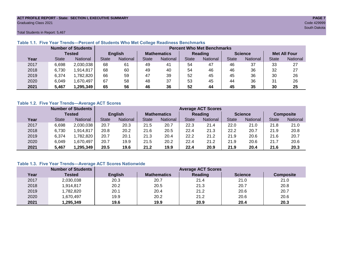#### **ACT PROFILE REPORT - State: SECTION I, EXECUTIVE SUMMARY PAGE 7**

Code 429999 Code 429999 Code 429999 Code 429999 Code 429999 Code 429999 Code 429999 Code 429999 Code 429999 Code 429999 Code 429999 Code 429999 Code 429999 Code 429999 Code 429999 Code 429999 Code 429999 Code 429999 Code 4

Total Students in Report: 5,467

#### **Table 1.1. Five Year Trends—Percent of Students Who Met College Readiness Benchmarks**

|      |              | <b>Number of Students</b> |       | <b>Percent Who Met Benchmarks</b> |       |                    |              |          |              |                |              |                     |  |  |  |
|------|--------------|---------------------------|-------|-----------------------------------|-------|--------------------|--------------|----------|--------------|----------------|--------------|---------------------|--|--|--|
|      |              | Tested                    |       | <b>English</b>                    |       | <b>Mathematics</b> |              | Reading  |              | <b>Science</b> |              | <b>Met All Four</b> |  |  |  |
| Year | <b>State</b> | <b>National</b>           | State | National                          | State | National           | <b>State</b> | National | <b>State</b> | National       | <b>State</b> | National            |  |  |  |
| 2017 | 6,698        | 2,030,038                 | 68    | 61                                | 49    | 41                 | 54           | 47       | 46           | 37             | 33           | 27                  |  |  |  |
| 2018 | 6,730        | 1,914,817                 | 68    | 60                                | 49    | 40                 | 54           | 46       | 46           | 36             | 32           | 27                  |  |  |  |
| 2019 | 6,374        | 1,782,820                 | 66    | 59                                | 47    | 39                 | 52           | 45       | 45           | 36             | 30           | 26                  |  |  |  |
| 2020 | 6,049        | 1,670,497                 | 67    | 58                                | 48    | 37                 | 53           | 45       | 44           | 36             | 31           | 26                  |  |  |  |
| 2021 | 5,467        | 1,295,349                 | 65    | 56                                | 46    | 36                 | 52           | 44       | 45           | 35             | 30           | 25                  |  |  |  |

#### **Table 1.2. Five Year Trends—Average ACT Scores**

|      |              | <b>Number of Students</b> |              |                | <b>Average ACT Scores</b> |                    |       |                 |              |                |              |                  |  |  |
|------|--------------|---------------------------|--------------|----------------|---------------------------|--------------------|-------|-----------------|--------------|----------------|--------------|------------------|--|--|
|      |              | Tested                    |              | <b>English</b> |                           | <b>Mathematics</b> |       | <b>Reading</b>  |              | <b>Science</b> |              | <b>Composite</b> |  |  |
| Year | <b>State</b> | <b>National</b>           | <b>State</b> | National       | <b>State</b>              | National           | State | <b>National</b> | <b>State</b> | National       | <b>State</b> | National         |  |  |
| 2017 | 6,698        | 2,030,038                 | 20.7         | 20.3           | 21.5                      | 20.7               | 22.3  | 21.4            | 22.0         | 21.0           | 21.8         | 21.0             |  |  |
| 2018 | 6,730        | 1,914,817                 | 20.8         | 20.2           | 21.6                      | 20.5               | 22.4  | 21.3            | 22.2         | 20.7           | 21.9         | 20.8             |  |  |
| 2019 | 6,374        | ,782,820                  | 20.7         | 20.1           | 21.3                      | 20.4               | 22.2  | 21.2            | 21.9         | 20.6           | 21.6         | 20.7             |  |  |
| 2020 | 6,049        | .670,497                  | 20.7         | 19.9           | 21.5                      | 20.2               | 22.4  | 21.2            | 21.9         | 20.6           | 21.7         | 20.6             |  |  |
| 2021 | 5,467        | 1,295,349                 | 20.5         | 19.6           | 21.2                      | 19.9               | 22.4  | 20.9            | 21.9         | 20.4           | 21.6         | 20.3             |  |  |

#### **Table 1.3. Five Year Trends—Average ACT Scores Nationwide**

|      | <b>Number of Students</b> |                |                    | <b>Average ACT Scores</b> |                |                  |
|------|---------------------------|----------------|--------------------|---------------------------|----------------|------------------|
| Year | Tested                    | <b>English</b> | <b>Mathematics</b> | <b>Reading</b>            | <b>Science</b> | <b>Composite</b> |
| 2017 | 2,030,038                 | 20.3           | 20.7               | 21.4                      | 21.0           | 21.0             |
| 2018 | 1,914,817                 | 20.2           | 20.5               | 21.3                      | 20.7           | 20.8             |
| 2019 | 1,782,820                 | 20.1           | 20.4               | 21.2                      | 20.6           | 20.7             |
| 2020 | ,670,497                  | 19.9           | 20.2               | 21.2                      | 20.6           | 20.6             |
| 2021 | 1,295,349                 | 19.6           | 19.9               | 20.9                      | 20.4           | 20.3             |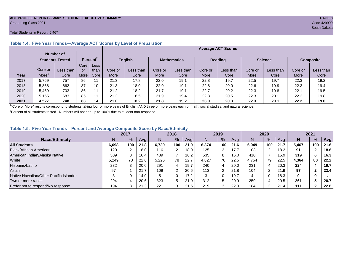#### **ACT PROFILE REPORT - State: SECTION I, EXECUTIVE SUMMARY PAGE 8** Graduating Class 2021 Code 429999

#### Total Students in Report: 5,467

|      |                   |                        |      |                      |             |                |         |                    |         | <b>Average ACT Scores</b> |         |                |         |                  |
|------|-------------------|------------------------|------|----------------------|-------------|----------------|---------|--------------------|---------|---------------------------|---------|----------------|---------|------------------|
|      |                   | Number of              |      |                      |             |                |         |                    |         |                           |         |                |         |                  |
|      |                   | <b>Students Tested</b> |      | Percent <sup>2</sup> |             | <b>English</b> |         | <b>Mathematics</b> |         | <b>Reading</b>            |         | <b>Science</b> |         | <b>Composite</b> |
|      |                   |                        | Core | Less                 |             |                |         |                    |         |                           |         |                |         |                  |
|      | Core or           | Less than              | or   | than                 | Core or     | Less than      | Core or | Less than          | Core or | Less than                 | Core or | Less than      | Core or | Less than        |
| Year | More <sup>'</sup> | Core                   | More | Core                 | <b>More</b> | Core           | More    | Core               | More    | Core                      | More    | Core           | More    | Core             |
| 2017 | 5,769             | 757                    | 86   |                      | 21.3        | 17.8           | 22.0    | 19.1               | 22.8    | 19.7                      | 22.5    | 19.7           | 22.3    | 19.2             |
| 2018 | 5,868             | 662                    | 87   | 10                   | 21.3        | 18.0           | 22.0    | 19.1               | 22.8    | 20.0                      | 22.6    | 19.9           | 22.3    | 19.4             |
| 2019 | 5,469             | 703                    | 86   |                      | 21.2        | 18.2           | 21.7    | 19.1               | 22.7    | 20.2                      | 22.3    | 19.8           | 22.1    | 19.5             |
| 2020 | 5,155             | 683                    | 85   |                      | 21.3        | 18.5           | 21.9    | 19.4               | 22.8    | 20.5                      | 22.3    | 20.1           | 22.2    | 19.8             |
| 2021 | 4,527             | 748                    | 83   | 14                   | 21.0        | 18.2           | 21.8    | 19.2               | 23.0    | 20.3                      | 22.3    | 20.1           | 22.2    | 19.6             |

#### **Table 1.4. Five Year Trends—Average ACT Scores by Level of Preparation**

<sup>1</sup>"Core or More" results correspond to students taking four or more years of English AND three or more years each of math, social studies, and natural science.

 $2$ Percent of all students tested. Numbers will not add up to 100% due to student non-response.

#### **Table 1.5. Five Year Trends—Percent and Average Composite Score by Race/Ethnicity**

|                                        |       | 2017   |           |       | 2018 |                   |       | 2019 |      |       | 2020 |      |       | 2021 |      |
|----------------------------------------|-------|--------|-----------|-------|------|-------------------|-------|------|------|-------|------|------|-------|------|------|
| <b>Race/Ethnicity</b>                  | N     | %      | Avg       | N     | %    | Avg               | N     | %    | Avg  | N     | %    | Avg  | N     | %    | Avg  |
| <b>All Students</b>                    | 6,698 | 100    | 21.8      | 6,730 | 100  | 21.9              | 6.374 | 100  | 21.6 | 6.049 | 100  | 21.7 | 5.467 | 100  | 21.6 |
| <b>Black/African American</b>          | 120   | C<br>∠ | 18.0      | 116   |      | 18.0              | 125   |      | 17.7 | 103   | 2    | 18.2 | 91    |      | 18.6 |
| American Indian/Alaska Native          | 509   | 8      | 16.4      | 439   |      | 16.2 <sub>1</sub> | 535   | 8    | 16.0 | 410   |      | 15.9 | 319   |      | 16.3 |
| White                                  | 5,249 | 78     | 22.6      | 5,226 | 78   | 22.7              | 4,827 | 76   | 22.5 | 4.754 | 79   | 22.5 | 4.364 | 80   | 22.2 |
| Hispanic/Latino                        | 232   | 3      | 20.0      | 291   |      | 19.7              | 240   |      | 20.0 | 231   | 4    | 20.3 | 224   |      | 19.7 |
| Asian                                  | 97    |        | 21.7<br>⇁ | 109   |      | 20.6              | 113   |      | 21.8 | 104   | っ    | 21.9 | 97    |      | 22.4 |
| Native Hawaiian/Other Pacific Islander | 3     | 0      | 14.0      |       |      | 17.2              | 3     |      | 19.7 | 4     | 0    | 18.3 | 0     |      |      |
| Two or more races                      | 294   |        | 20.6      | 323   |      | 21.0              | 312   | -5   | 20.9 | 259   | 4    | 20.5 | 261   |      | 20.7 |
| Prefer not to respond/No response      | 194   | 3      | 21.3      | 221   |      | 21.5              | 219   | د.   | 22.0 | 184   | 3    | 21.4 | 111   |      | 22.6 |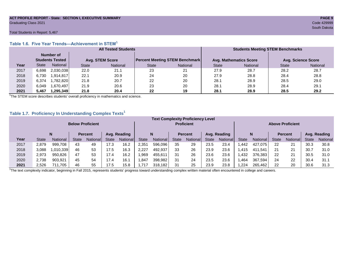#### **ACT PROFILE REPORT - State: SECTION I, EXECUTIVE SUMMARY PAGE 9** Code 429999 Craduating Class 2021 Code 429999

Total Students in Report: 5,467

#### **Table 1.6. Five Year Trends—Achievement in STEM<sup>1</sup>**

|      |       |                        |       | <b>All Tested Students</b> |              |                                       | <b>Students Meeting STEM Benchmarks</b> |                               |       |                           |  |  |  |
|------|-------|------------------------|-------|----------------------------|--------------|---------------------------------------|-----------------------------------------|-------------------------------|-------|---------------------------|--|--|--|
|      |       | Number of              |       |                            |              |                                       |                                         |                               |       |                           |  |  |  |
|      |       | <b>Students Tested</b> |       | <b>Avg. STEM Score</b>     |              | <b>Percent Meeting STEM Benchmark</b> |                                         | <b>Avg. Mathematics Score</b> |       | <b>Avg. Science Score</b> |  |  |  |
| Year | State | National               | State | <b>National</b>            | <b>State</b> | <b>National</b>                       | <b>State</b>                            | <b>National</b>               | State | National                  |  |  |  |
| 2017 | 6.698 | 2,030,038              | 22.0  | 21.1                       | 23           | 21                                    | 27.9                                    | 28.7                          | 28.2  | 28.7                      |  |  |  |
| 2018 | 6.730 | 1,914,817              | 22.1  | 20.9                       | 24           | 20                                    | 27.9                                    | 28.8                          | 28.4  | 28.8                      |  |  |  |
| 2019 | 6.374 | 1,782,820              | 21.8  | 20.7                       | 22           | 20                                    | 28.1                                    | 28.9                          | 28.5  | 29.0                      |  |  |  |
| 2020 | 6.049 | 1,670,497              | 21.9  | 20.6                       | 23           | 20                                    | 28.1                                    | 28.9                          | 28.4  | 29.1                      |  |  |  |
| 2021 | 5.467 | 1.295.349              | 21.8  | 20.4                       | 22           | 19                                    | 28.1                                    | 28.9                          | 28.5  | 29.2                      |  |  |  |

<sup>1</sup>The STEM score describes students' overall proficiency in mathematics and science.

#### **Table 1.7. Proficiency In Understanding Complex Texts<sup>1</sup>**

|      |       |                 |       |                         |              |              |              |          |              | <b>Text Complexity Proficiency Level</b> |              |              |              |          |              |                         |              |              |
|------|-------|-----------------|-------|-------------------------|--------------|--------------|--------------|----------|--------------|------------------------------------------|--------------|--------------|--------------|----------|--------------|-------------------------|--------------|--------------|
|      |       |                 |       | <b>Below Proficient</b> |              |              |              |          |              | <b>Proficient</b>                        |              |              |              |          |              | <b>Above Proficient</b> |              |              |
|      |       | N               |       | <b>Percent</b>          |              | Avg. Reading |              | N        |              | <b>Percent</b>                           |              | Avg. Reading |              |          |              | <b>Percent</b>          |              | Avg. Reading |
| Year | State | <b>National</b> | State | National                | <b>State</b> | National     | <b>State</b> | National | <b>State</b> | <b>National</b>                          | <b>State</b> | National     | <b>State</b> | National | <b>State</b> | National                | <b>State</b> | National     |
| 2017 | 2,879 | 999,708         | 43    | 49                      | 17.3         | 16.2         | 2,351        | 596,096  | 35           | 29                                       | 23.5         | 23.4         | .442         | 427,075  | 22           | 21                      | 30.3         | 30.8         |
| 2018 | 3,088 | 1,010,339       | 46    | 53                      | 17.5         | 16.3         | 2,227        | 492,937  | 33           | 26                                       | 23.9         | 23.6         | .415         | 411,541  | 21           | 21                      | 30.7         | 31.0         |
| 2019 | 2,973 | 950,826         | 47    | 53                      | 17.4         | 16.2         | .969         | 455,611  | 31           | 26                                       | 23.6         | 23.6         | .432         | 376,383  | 22           | 21                      | 30.5         | 31.0         |
| 2020 | 2,738 | 903.921         | 45    | 54                      | 17.4         | 16.1         | ,847         | 398,982  | 31           | 24                                       | 23.5         | 23.6         | .464         | 367,594  | 24           | 22                      | 30.4         | 31.1         |
| 2021 | 2,526 | 711,705         | 46    | 55                      | 17.5         | 15.8         | .717         | 318,182  | 31           | 25                                       | 23.9         | 23.8         | .224         | 265,462  | 22           | 20                      | 30.6         | 31.3         |

<sup>1</sup>The text complexity indicator, beginning in Fall 2015, represents students' progress toward understanding complex written material often encountered in college and careers.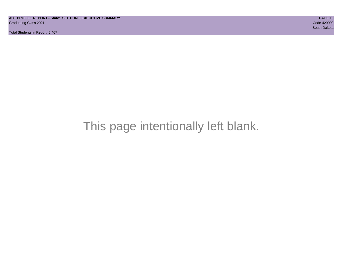**ACT PROFILE REPORT - State: SECTION I, EXECUTIVE SUMMARY PAGE 10** Graduating Class 2021 Code 429999

Total Students in Report: 5,467

### This page intentionally left blank.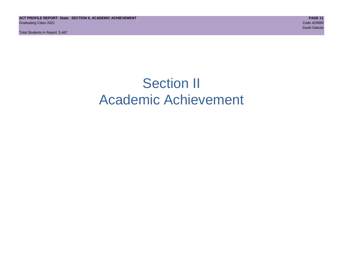# Section II Academic Achievement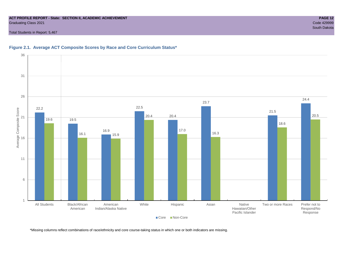#### **ACT PROFILE REPORT - State: SECTION II, ACADEMIC ACHIEVEMENT PAGE 12** Graduating Class 2021 Code 429999

South Dakota

Total Students in Report: 5,467



#### **Figure 2.1. Average ACT Composite Scores by Race and Core Curriculum Status\***

\*Missing columns reflect combinations of race/ethnicity and core course-taking status in which one or both indicators are missing.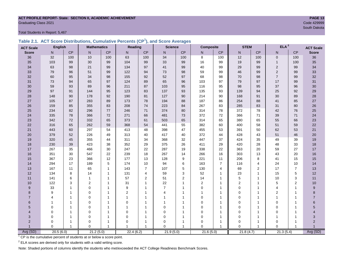#### **ACT PROFILE REPORT- State: SECTION II, ACADEMIC ACHIEVEMENT PAGE 13** Graduating Class 2021 Code 429999

Total Students in Report: 5,467

#### **Table 2.1. ACT Score Distributions, Cumulative Percents (CP<sup>1</sup> ), and Score Averages**

| <b>ACT Scale</b> | <b>English</b> |              | <b>Mathematics</b> |     | Reading      |                | <b>Science</b>   |              | Composite |                | <b>STEM</b> |                | ELA <sup>2</sup> |                         | <b>ACT Scale</b> |
|------------------|----------------|--------------|--------------------|-----|--------------|----------------|------------------|--------------|-----------|----------------|-------------|----------------|------------------|-------------------------|------------------|
| <b>Score</b>     | $\mathsf{N}$   | CP           | N                  | CP  | $\mathsf{N}$ | CP             | N                | CP           | N         | CP             | ${\sf N}$   | CP             | $\mathsf{N}$     | CP                      | <b>Score</b>     |
| 36               | 32             | 100          | 10                 | 100 | 63           | 100            | 34               | 100          | 8         | 100            | 12          | 100            | $\mathbf 0$      | 100                     | 36               |
| 35               | 103            | 99           | 30                 | 99  | 104          | 99             | 33               | 99           | 16        | 99             | 19          | 99             | $\mathbf{1}$     | 100                     | 35               |
| 34               | 63             | 98           | 21                 | 99  | 134          | 97             | 41               | 99           | 40        | 99             | 29          | 99             | 2                | 99                      | 34               |
| 33               | 79             | 96           | 51                 | 99  | 122          | 94             | 73               | 98           | 59        | 99             | 46          | 99             | 2                | 99                      | 33               |
| 32               | 60             | 95           | 34                 | 98  | 155          | 92             | 52               | 97           | 68        | 98             | 70          | 98             | $\overline{7}$   | 99                      | 32               |
| 31               | 73             | 94           | 65                 | 97  | 124          | 89             | 65               | 96           | 103       | 97             | 79          | 97             | 17               | 99                      | 31               |
| 30               | 59             | 93           | 89                 | 96  | 211          | 87             | 103              | 95           | 116       | 95             | 98          | 95             | 37               | 96                      | $30\,$           |
| 29               | 97             | 91           | 144                | 95  | 123          | 83             | 137              | 93           | 135       | 93             | 139         | 94             | 25               | 92                      | 29               |
| 28               | 148            | 90           | 178                | 92  | 190          | 81             | 127              | 90           | 214       | 90             | 168         | 91             | 30               | 89                      | 28               |
| 27               | 105            | 87           | 283                | 89  | 173          | 78             | 194              | 88           | 187       | 86             | 254         | 88             | 41               | 85                      | 27               |
| 26               | 159            | 85           | 355                | 83  | 208          | 74             | 223              | 84           | 267       | 83             | 285         | 83             | 31               | 80                      | $26\,$           |
| 25               | 234            | 82           | 296                | 77  | 246          | 71             | 374              | 80           | 314       | 78             | 372         | 78             | 42               | 76                      | 25               |
| 24               | 335            | 78           | 366                | 72  | 271          | 66             | 481              | 73           | 372       | 72             | 366         | 71             | 39               | 71                      | 24               |
| 23               | 342            | 72           | 332                | 65  | 373          | 61             | 503              | 65           | 314       | 65             | 380         | 65             | 55               | 66                      | 23               |
| 22               | 316            | 65           | 262                | 59  | 368          | 54             | 441              | 55           | 382       | 60             | 400         | 58             | 51               | 59                      | 22               |
| 21               | 443            | 60           | 297                | 54  | 413          | 48             | 398              | 47           | 455       | 53             | 391         | 50             | 62               | 53                      | 21               |
| 20               | 379            | 52           | 226                | 49  | 313          | 40             | 417              | 40           | 372       | 44             | 428         | 43             | 51               | 46                      | 20               |
| 19               | 320            | 45           | 355                | 44  | 311          | 34             | 368              | 32           | 447       | 37             | 424         | 35             | 49               | 39                      | 19               |
| 18               | 230            | 39           | 423                | 38  | 352          | 29             | 375              | 26           | 411       | 29             | 420         | 28             | 48               | 33                      | 18               |
| 17               | 267            | 35           | 466                | 30  | 247          | 22             | 287              | 19           | 338       | 22             | 363         | 20             | 59               | 27                      | 17               |
| 16               | 351            | 30           | 547                | 22  | 239          | 18             | 267              | 14           | 266       | 16             | 303         | 13             | 43               | 20                      | $16\,$           |
| 15               | 367            | 23           | 366                | 12  | 177          | 13             | 128              | 9            | 221       | 11             | 206         | 8              | 41               | 15                      | 15               |
| 14               | 294            | 17           | 189                | 5   | 174          | 10             | 94               | 6            | 163       | $\overline{7}$ | 116         | $\overline{4}$ | 24               | 10                      | 14               |
| 13               | 167            | 11           | 65                 | 1   | 143          | $\overline{7}$ | 107              | 5            | 130       | 4              | 69          | 2              | 17               | $\overline{7}$          | $13$             |
| 12               | 134            | 8            | 14                 | 1   | 131          | 4              | 59               | 3            | 52        | $\mathbf{1}$   | 23          | $\mathbf{1}$   | 15               | $\,$ 5 $\,$             | 12               |
| 11               | 141            | 6            | $\mathbf{1}$       | 1   | 57           | 2              | 51               | 2            | 14        | $\mathbf{1}$   | 5           | 1              | 10               | 3                       | 11               |
| 10               | 122            | 3            | 2                  | 1   | 31           | $\mathbf{1}$   | 22               | 1            | 2         | 1              | 2           | $\mathbf 1$    | $\mathbf 5$      | 2                       | $10$             |
| 9                | 33             |              | 0                  | 1   | 9            | $\mathbf{1}$   | $\boldsymbol{7}$ | 1            | 0         | 1              | 0           | 1              | $\overline{4}$   | 1                       | $\boldsymbol{9}$ |
| 8                | 9              |              | $\mathbf 0$        | 1   | 2            | $\mathbf{1}$   | $\overline{4}$   | 1            |           | $\mathbf{1}$   | 0           | 1              | 2                | 1                       | $\bf 8$          |
| $\overline{7}$   | 4              | 1            | 0                  | 1   | 1            | $\mathbf{1}$   | $\overline{1}$   | 1            | 0         | $\mathbf{1}$   | 0           | 1              | $\mathbf{1}$     | $\overline{1}$          | $\overline{7}$   |
| $6\phantom{a}$   | 1              |              | 0                  | 1   | 0            | $\mathbf{1}$   | $\overline{1}$   | 1            | 0         | $\mathbf{1}$   | 0           | 1              | $\mathbf 0$      | $\overline{1}$          | $\,$ 6 $\,$      |
| 5                | 0              | 1            | 0                  | 1   |              | $\mathbf{1}$   | $\mathbf 0$      | 1            | 0         | $\overline{1}$ | 0           | 1              | $\mathbf 0$      | $\overline{1}$          | 5                |
| $\overline{4}$   | 0              | 1            | 0                  | 1   | 0            | $\mathbf{1}$   | $\mathbf 0$      | 1            | 0         | $\mathbf{1}$   | 0           | 1              | $\mathbf 0$      | -1                      | 4                |
| 3                | 0              | 1            | 0                  | 1   | $\mathbf 0$  | $\mathbf{1}$   | $\mathbf 0$      | 1            | 0         | $\mathbf{1}$   | 0           | 1              | $\mathbf{1}$     | $\overline{\mathbf{1}}$ | 3                |
| $\overline{2}$   | 0              | $\mathbf{1}$ | 0                  | 1   | 0            | $\mathbf{1}$   | 0                | 1            | 0         | $\mathbf{1}$   | 0           | 1              | $\mathbf 0$      | $\overline{1}$          | $\sqrt{2}$       |
|                  | $\Omega$       | 1            | $\Omega$           | 1   | $\mathbf{1}$ | $\mathbf{1}$   | $\Omega$         | $\mathbf{1}$ | $\Omega$  | $\mathbf{1}$   | 0           | 1              | $\Omega$         | $\overline{\mathbf{1}}$ | $\overline{1}$   |
| Avg (SD)         | 20.5(6.0)      |              | 21.2(5.0)          |     | 22.4(6.2)    |                | 21.9(5.0)        |              | 21.6(5.0) |                | 21.8(4.7)   |                | 21.3(5.4)        |                         | Avg (SD)         |

CP is the cumulative percent of students at or below a score point.

ELA scores are derived only for students with a valid writing score.

Note: Shaded portions of columns identify the students who met/exceeded the ACT College Readiness Benchmark Scores.

South Dakota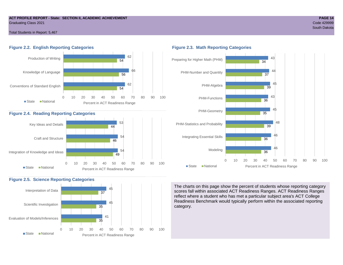#### **ACT PROFILE REPORT - State: SECTION II, ACADEMIC ACHIEVEMENT PAGE 14** Graduating Class 2021 Code 429999

#### Total Students in Report: 5,467



#### **Figure 2.4. Reading Reporting Categories**



#### **Figure 2.5. Science Reporting Categories**





The charts on this page show the percent of students whose reporting category scores fall within associated ACT Readiness Ranges. ACT Readiness Ranges reflect where a student who has met a particular subject area's ACT College Readiness Benchmark would typically perform within the associated reporting category.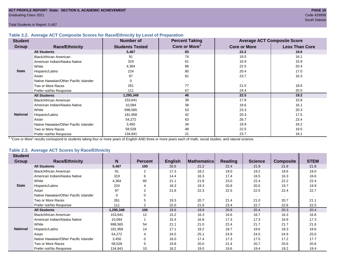#### **Table 2.2. Average ACT Composite Scores for Race/Ethnicity by Level of Preparation**

| <b>Student</b>  |                                        | <b>Number of</b>       | <b>Percent Taking</b>     |                     | <b>Average ACT Composite Score</b> |
|-----------------|----------------------------------------|------------------------|---------------------------|---------------------|------------------------------------|
| <b>Group</b>    | <b>Race/Ethnicity</b>                  | <b>Students Tested</b> | Core or More <sup>1</sup> | <b>Core or More</b> | <b>Less Than Core</b>              |
|                 | <b>All Students</b>                    | 5,467                  | 83                        | 22.2                | 19.6                               |
|                 | Black/African American                 | 91                     | 74                        | 19.5                | 16.1                               |
|                 | American Indian/Alaska Native          | 319                    | 61                        | 16.9                | 15.9                               |
|                 | White                                  | 4,364                  | 86                        | 22.5                | 20.4                               |
| <b>State</b>    | Hispanic/Latino                        | 224                    | 80                        | 20.4                | 17.0                               |
|                 | Asian                                  | 97                     | 81                        | 23.7                | 16.3                               |
|                 | Native Hawaiian/Other Pacific Islander | 0                      |                           |                     |                                    |
|                 | Two or More Races                      | 261                    | 77                        | 21.5                | 18.6                               |
|                 | Prefer not/No Response                 | 111                    | 67                        | 24.4                | 20.5                               |
|                 | <b>All Students</b>                    | 1,295,349              | 46                        | 22.5                | 19.2                               |
|                 | <b>Black/African American</b>          | 153,641                | 39                        | 17.9                | 15.8                               |
|                 | American Indian/Alaska Native          | 10,094                 | 38                        | 18.6                | 16.1                               |
|                 | White                                  | 698,565                | 53                        | 23.3                | 20.3                               |
| <b>National</b> | Hispanic/Latino                        | 181,958                | 42                        | 20.3                | 17.5                               |
|                 | Asian                                  | 54,272                 | 63                        | 26.7                | 23.4                               |
|                 | Native Hawaiian/Other Pacific Islander | 3,450                  | 34                        | 19.9                | 16.2                               |
|                 | Two or More Races                      | 58,528                 | 48                        | 22.5                | 19.5                               |
|                 | Prefer not/No Response                 | 134,841                | 21                        | 23.7                | 19.1                               |

<sup>1</sup> "Core or More" results correspond to students taking four or more years of English AND three or more years each of math, social studies, and natural science.

#### **Table 2.3. Average ACT Scores by Race/Ethnicity**

| <b>Student</b><br><b>Group</b> | <b>Race/Ethnicity</b>                  | N.        | <b>Percent</b> | <b>English</b> | <b>Mathematics</b> | Reading | <b>Science</b> | <b>Composite</b> | <b>STEM</b> |
|--------------------------------|----------------------------------------|-----------|----------------|----------------|--------------------|---------|----------------|------------------|-------------|
|                                | <b>All Students</b>                    | 5,467     | 100            | 20.5           | 21.2               | 22.4    | 21.9           | 21.6             | 21.8        |
|                                | Black/African American                 | 91        | 2              | 17.3           | 18.2               | 19.0    | 19.2           | 18.6             | 19.0        |
|                                | American Indian/Alaska Native          | 319       | 6              | 14.4           | 16.3               | 17.4    | 16.5           | 16.3             | 16.6        |
|                                | White                                  | 4,364     | 80             | 21.1           | 21.8               | 23.0    | 22.4           | 22.2             | 22.4        |
| <b>State</b>                   | Hispanic/Latino                        | 224       | 4              | 18.3           | 19.3               | 20.8    | 20.0           | 19.7             | 19.9        |
|                                | Asian                                  | 97        | 2              | 21.6           | 22.3               | 22.5    | 22.5           | 22.4             | 22.7        |
|                                | Native Hawaiian/Other Pacific Islander | $\Omega$  | 0              |                |                    |         |                |                  |             |
|                                | Two or More Races                      | 261       | 5              | 19.3           | 20.7               | 21.4    | 21.0           | 20.7             | 21.1        |
|                                | Prefer not/No Response                 | 111       |                | 22.0           | 21.8               | 23.4    | 22.7           | 22.6             | 22.5        |
|                                | <b>All Students</b>                    | 1,295,349 | 100            | 19.6           | 19.9               | 20.9    | 20.4           | 20.3             | 20.4        |
|                                | Black/African American                 | 153,641   | 12             | 15.2           | 16.3               | 16.6    | 16.7           | 16.3             | 16.8        |
|                                | American Indian/Alaska Native          | 10,094    |                | 15.4           | 16.8               | 17.3    | 17.3           | 16.9             | 17.3        |
|                                | White                                  | 698,565   | 54             | 21.1           | 21.0               | 22.4    | 21.7           | 21.7             | 21.6        |
| <b>National</b>                | Hispanic/Latino                        | 181,958   | 14             | 17.1           | 18.2               | 18.7    | 18.6           | 18.3             | 18.6        |
|                                | Asian                                  | 54,272    | $\overline{4}$ | 24.5           | 25.1               | 24.9    | 24.5           | 24.9             | 25.0        |
|                                | Native Hawaiian/Other Pacific Islander | 3,450     | 0              | 16.0           | 17.4               | 17.3    | 17.5           | 17.2             | 17.7        |
|                                | Two or More Races                      | 58,528    |                | 19.8           | 20.0               | 21.4    | 20.7           | 20.6             | 20.6        |
|                                | Prefer not/No Response                 | 134,841   | 10             | 18.2           | 19.0               | 19.6    | 19.4           | 19.2             | 19.4        |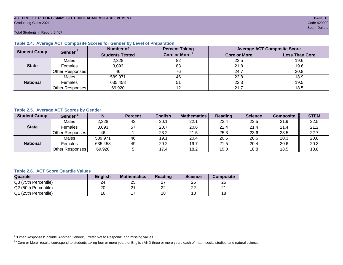#### **ACT PROFILE REPORT- State: SECTION II, ACADEMIC ACHIEVEMENT PAGE 16** Graduating Class 2021 Code 429999

#### Total Students in Report: 5,467

#### **Table 2.4. Average ACT Composite Scores for Gender by Level of Preparation**

| <b>Student Group</b> | Gender <sup>1</sup> | <b>Number of</b>       | <b>Percent Taking</b>     | <b>Average ACT Composite Score</b> |                       |  |  |
|----------------------|---------------------|------------------------|---------------------------|------------------------------------|-----------------------|--|--|
|                      |                     | <b>Students Tested</b> | Core or More <sup>2</sup> | <b>Core or More</b>                | <b>Less Than Core</b> |  |  |
|                      | Males               | 2,328                  | 82                        | 22.5                               | 19.6                  |  |  |
| <b>State</b>         | Females             | 3,093                  | 83                        | 21.8                               | 19.6                  |  |  |
|                      | Other Responses     | 46                     | 76                        | 24.7                               | 20.8                  |  |  |
|                      | Males               | 589,971                | 46                        | 22.8                               | 18.9                  |  |  |
| <b>National</b>      | Females             | 635,458                | -51                       | 22.3                               | 19.5                  |  |  |
|                      | Other Responses     | 69,920                 |                           | 21.7                               | 18.5                  |  |  |

#### **Table 2.5. Average ACT Scores by Gender**

| <b>Student Group</b> | Gender            |         | <b>Percent</b> | <b>English</b> | <b>Mathematics</b> | <b>Reading</b> | <b>Science</b> | <b>Composite</b> | <b>STEM</b> |
|----------------------|-------------------|---------|----------------|----------------|--------------------|----------------|----------------|------------------|-------------|
|                      | Males             | 2,328   | 43             | 20.1           | 22.1               | 22.4           | 22.5           | 21.9             | 22.5        |
| <b>State</b>         | Females           | 3,093   | 57             | 20.7           | 20.6               | 22.4           | 21.4           | 21.4             | 21.2        |
|                      | Other Responses I | 46      |                | 23.2           | 21.5               | 25.3           | 23.6           | 23.5             | 22.7        |
|                      | Males             | 589,971 | 46             | 19.1           | 20.4               | 20.6           | 20.6           | 20.3             | 20.8        |
| <b>National</b>      | Females           | 635.458 | 49             | 20.2           | 19.7               | 21.5           | 20.4           | 20.6             | 20.3        |
|                      | Other Responses   | 69,920  |                | 17.4           | 18.2               | 19.0           | 18.8           | 18.5             | 18.8        |

#### **Table 2.6. ACT Score Quartile Values**

| Quartile             | <b>English</b> | <b>Mathematics</b> | Reading | <b>Science</b> | <b>Composite</b> |
|----------------------|----------------|--------------------|---------|----------------|------------------|
| Q3 (75th Percentile) | 24             | 25                 |         | 25             | 25               |
| Q2 (50th Percentile) | 20             | 21                 | 22      | 22             | 21               |
| Q1 (25th Percentile) | 16             | 17                 | 18      | 18             | 18               |

<sup>1</sup> 'Other Responses' include 'Another Gender', 'Prefer Not to Respond', and missing values.

<sup>2</sup> "Core or More" results correspond to students taking four or more years of English AND three or more years each of math, social studies, and natural science.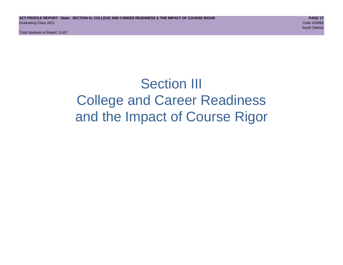Section III College and Career Readiness and the Impact of Course Rigor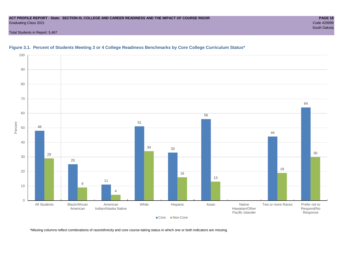#### **ACT PROFILE REPORT - State: SECTION III, COLLEGE AND CAREER READINESS AND THE IMPACT OF COURSE RIGOR PAGE 18** Graduating Class 2021 Code 429999

Total Students in Report: 5,467



#### **Figure 3.1. Percent of Students Meeting 3 or 4 College Readiness Benchmarks by Core College Curriculum Status\***

\*Missing columns reflect combinations of race/ethnicity and core course-taking status in which one or both indicators are missing.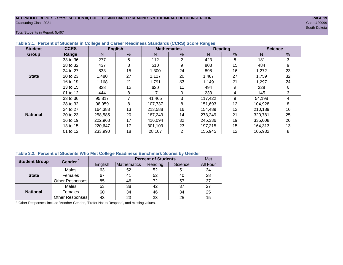#### **ACT PROFILE REPORT - State: SECTION III, COLLEGE AND CAREER READINESS & THE IMPACT OF COURSE RIGOR PAGE 19** Graduating Class 2021 Code 429999

#### Total Students in Report: 5,467

| <b>Student</b>                  | <b>CCRS</b> |         | <b>English</b>           |         | <b>Mathematics</b> | Reading |    | <b>Science</b> |    |  |
|---------------------------------|-------------|---------|--------------------------|---------|--------------------|---------|----|----------------|----|--|
| Group                           | Range       | N       | %                        | N       | %                  | N       | %  | N              | %  |  |
|                                 | 33 to 36    | 277     | 5                        | 112     | 2                  | 423     | 8  | 181            |    |  |
|                                 | 28 to 32    | 437     | 8                        | 510     | 9                  | 803     | 15 | 484            | 9  |  |
| <b>State</b><br><b>National</b> | 24 to 27    | 833     | 15                       | 1,300   | 24                 | 898     | 16 | 1,272          | 23 |  |
|                                 | 20 to 23    | 1,480   | 27                       | 1,117   | 20                 | 1,467   | 27 | 1,759          | 32 |  |
|                                 | 16 to 19    | 1,168   | 21                       | 1,791   | 33                 | 1,149   | 21 | 1,297          | 24 |  |
|                                 | 13 to 15    | 828     | 15                       | 620     | 11                 | 494     | 9  | 329            | 6  |  |
|                                 | 01 to 12    | 444     | 8                        | 17      | 0                  | 233     | 4  | 145            | 3  |  |
|                                 | 33 to 36    | 95,817  | $\overline{\phantom{a}}$ | 41,465  | 3                  | 117,422 | 9  | 54,198         | 4  |  |
|                                 | 28 to 32    | 98,959  | 8                        | 107,737 | 8                  | 151,693 | 12 | 104,928        | 8  |  |
|                                 | 24 to 27    | 164,383 | 13                       | 213,588 | 16                 | 154,489 | 12 | 210,189        | 16 |  |
|                                 | 20 to 23    | 258,585 | 20                       | 187,249 | 14                 | 273,249 | 21 | 320,781        | 25 |  |
|                                 | 16 to 19    | 222,968 | 17                       | 416,094 | 32                 | 245,336 | 19 | 335,008        | 26 |  |
|                                 | 13 to 15    | 220,647 | 17                       | 301,109 | 23                 | 197,215 | 15 | 164,313        | 13 |  |
|                                 | 01 to 12    | 233,990 | 18                       | 28,107  | $\overline{2}$     | 155,945 | 12 | 105,932        | 8  |  |

#### **Table 3.1. Percent of Students in College and Career Readiness Standards (CCRS) Score Ranges**

#### **Table 3.2. Percent of Students Who Met College Readiness Benchmark Scores by Gender**

| <b>Student Group</b> |                 |         | <b>Percent of Students</b> | Met     |         |          |
|----------------------|-----------------|---------|----------------------------|---------|---------|----------|
|                      | <b>Gender</b>   | English | Mathematics                | Reading | Science | All Four |
|                      | Males           | 63      | 52<br>52                   |         | 51      | 34       |
| <b>State</b>         | Females         | 67      | 41                         | 52      | 40      | 28       |
|                      | Other Responses | 85      | 46                         | 72      | 57      | 37       |
|                      | Males           | 53      | 38                         | 42      | 37      | 27       |
| <b>National</b>      | Females         | 60      | 34                         | 46      | 34      | 25       |
|                      | Other Responses | 43      | 23                         | 33      | 25      | 15       |

<sup>1</sup> 'Other Responses' include 'Another Gender', 'Prefer Not to Respond', and missing values.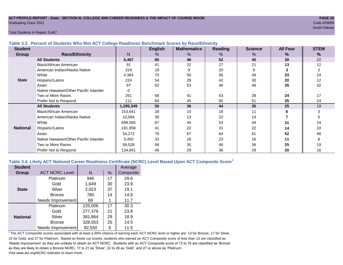#### **ACT PROFILE REPORT - State: SECTION III, COLLEGE AND CAREER READINESS & THE IMPACT OF COURSE RIGOR PAGE 20** Graduating Class 2021 Code 429999

#### Total Students in Report: 5,467

**Table 3.3. Percent of Students Who Met ACT College Readiness Benchmark Scores by Race/Ethnicity**

| <b>Student</b>  |                                        |           | <b>English</b> | <b>Mathematics</b> | <b>Reading</b> | <b>Science</b> | <b>All Four</b> | <b>STEM</b> |
|-----------------|----------------------------------------|-----------|----------------|--------------------|----------------|----------------|-----------------|-------------|
| <b>Group</b>    | <b>Race/Ethnicity</b>                  | N         | ℅              | %                  | %              | %              | %               | %           |
|                 | <b>All Students</b>                    | 5,467     | 65             | 46                 | 52             | 45             | 30              | 22          |
|                 | Black/African American                 | 91        | 41             | 22                 | 27             | 21             | 13              | 12          |
|                 | American Indian/Alaska Native          | 319       | 19             | 9                  | 20             | 9              |                 |             |
|                 | White                                  | 4,364     | 70             | 50                 | 56             | 49             | 33              | 24          |
| <b>State</b>    | Hispanic/Latino                        | 224       | 54             | 29                 | 42             | 30             | 20              | 12          |
|                 | Asian                                  | 97        | 62             | 53                 | 46             | 46             | 35              | 32          |
|                 | Native Hawaiian/Other Pacific Islander |           |                |                    |                |                |                 |             |
|                 | Two or More Races                      | 261       | 58             | 41                 | 43             | 38             | 24              | 17          |
|                 | Prefer Not to Respond                  | 111       | 69             | 45                 | 65             | 51             | 35              | 24          |
|                 | <b>All Students</b>                    | 1,295,349 | 56             | 36                 | 44             | 35             | 25              | 19          |
|                 | <b>Black/African American</b>          | 153,641   | 28             | 10                 | 18             | 11             | 6               |             |
|                 | American Indian/Alaska Native          | 10,094    | 30             | 13                 | 22             | 14             |                 |             |
|                 | White                                  | 698,565   | 67             | 44                 | 53             | 44             | 31              | 24          |
| <b>National</b> | Hispanic/Latino                        | 181,958   | 41             | 22                 | 31             | 22             | 14              | 10          |
|                 | Asian                                  | 54,272    | 76             | 67                 | 64             | 61             | 52              | 48          |
|                 | Native Hawaiian/Other Pacific Islander | 3,450     | 33             | 18                 | 23             | 16             | 11              | 8           |
|                 | Two or More Races                      | 58,528    | 58             | 35                 | 46             | 36             | 25              | 19          |
|                 | Prefer Not to Respond                  | 134,841   | 46             | 29                 | 36             | 29             | 20              | 16          |

South Dakota

#### **Table 3.4. Likely ACT National Career Readiness Certificate (NCRC) Level Based Upon ACT Composite Score<sup>1</sup>**

| <b>Student</b>  |                       |         |      | Average   |
|-----------------|-----------------------|---------|------|-----------|
| Group           | <b>ACT NCRC Level</b> | N       | $\%$ | Composite |
|                 | Platinum              | 946     | 17   | 29.6      |
|                 | Gold                  | 1,649   | 30   | 23.9      |
| <b>State</b>    | Silver                | 2,023   | 37   | 19.1      |
|                 | <b>Bronze</b>         | 780     | 14   | 14.8      |
|                 | Needs Improvement     | 69      | 1    | 11.7      |
|                 | Platinum              | 225,006 | 17   | 30.3      |
|                 | Gold                  | 277,376 | 21   | 23.8      |
| <b>National</b> | Silver                | 381,864 | 29   | 18.9      |
|                 | <b>Bronze</b>         | 328,553 | 25   | 14.5      |
|                 | Needs Improvement     | 82,550  | 6    | 11.5      |

<sup>1</sup>The ACT Composite scores associated with at least a 50% chance of earning each ACT NCRC level or higher are: 13 for Bronze, 17 for Silver, 22 for Gold, and 27 for Platinum. Based on those cut scores, students who earned an ACT Composite score of less than 13 are classified as 'Needs improvement' as they are unlikely to obtain an ACT NCRC. Students with an ACT Composite score of 13 to 16 are classified as 'Bronze' as they are likely to obtain a Bronze NCRC, 17 to 21 as 'Silver', 22 to 26 as 'Gold', and 27 or above as 'Platinum'. Visit www.act.org/NCRC-indicator to learn more.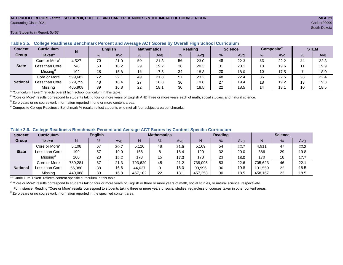#### **ACT PROFILE REPORT - State: SECTION III, COLLEGE AND CAREER READINESS & THE IMPACT OF COURSE RIGOR PAGE 21** Graduating Class 2021 Code 429999

#### Total Students in Report: 5,467

| <b>Student</b>  | <b>Curriculum</b>                      |         | <b>English</b><br>N |      | <b>Mathematics</b> |      | Reading |      | <b>Science</b> |      | <b>Composite</b> |      | <b>STEM</b> |      |
|-----------------|----------------------------------------|---------|---------------------|------|--------------------|------|---------|------|----------------|------|------------------|------|-------------|------|
| <b>Group</b>    | <b>Taken</b>                           |         | %                   | Avg  | %                  | Avg  | %       | Avg  |                | Avg  | %                | Avg  | %           | Avg  |
|                 | Core or More <sup><math>2</math></sup> | 4,527   | 70                  | 21.0 | 50                 | 21.8 | 56      | 23.0 | 48             | 22.3 | 33               | 22.2 | 24          | 22.3 |
| State           | Less than Core                         | 748     | 50                  | 18.2 | 29                 | 19.2 | 38      | 20.3 | 31             | 20.7 | 18               | 19.6 |             | 19.9 |
|                 | Missing <sup>®</sup>                   | 192     | 28                  | 15.8 | 16                 | 17.5 | 24      | 18.3 | 20             | 18.0 | 10               | 17.5 |             | 18.0 |
|                 | Core or More                           | 599,682 | 72                  | 22.7 | 49                 | 21.8 | 57      | 23.2 | 48             | 22.4 | 36               | 22.5 | 28          | 22.4 |
| <b>National</b> | Less than Core                         | 229,759 | 48                  | 18.4 | 27                 | 18.8 | 36      | 19.8 | 27             | 19.4 | 18               | 19.2 | 13          | 19.3 |
| $\sim$ $-$      | Missing                                | 465,908 | 39                  | 16.8 | 22                 | 18.7 | 30      | 18.5 | 22             | 18.5 | 14               | 18.1 | 10          | 18.5 |

South Dakota

#### **Table 3.5. College Readiness Benchmark Percent and Average ACT Scores by Overall High School Curriculum**

 $1$  "Curriculum Taken" reflects overall high school curriculum in this table.

<sup>2</sup> "Core or More" results correspond to students taking four or more years of English AND three or more years each of math, social studies, and natural science.

 $3$  Zero years or no coursework information reported in one or more content areas.

<sup>4</sup> Composite College Readiness Benchmark % results reflect students who met all four subject-area benchmarks.

#### **Table 3.6. College Readiness Benchmark Percent and Average ACT Scores by Content-Specific Curriculum**

| <b>Student</b>  | <b>Curriculum</b>         | <b>English</b> |    |      | <b>Mathematics</b> |    |      | <b>Reading</b> |    |      | <b>Science</b> |    |      |
|-----------------|---------------------------|----------------|----|------|--------------------|----|------|----------------|----|------|----------------|----|------|
| <b>Group</b>    | <b>Taken</b>              | N              | %  | Ava  |                    | %  | Avg  |                | %  | Avg  | N              | %  | Avg  |
|                 | Core or More <sup>2</sup> | 5.108          | 67 | 20.7 | 5.126              | 48 | 21.5 | 5.169          | 54 | 22.7 | 4.911          | 47 | 22.2 |
| <b>State</b>    | Less than Core            | 199            | 57 | 19.0 | 168                |    | 16.4 | 120            | 32 | 20.0 | 386            | 29 | 19.8 |
|                 | Missing <sup>3</sup>      | 160            | 23 | 15.2 | 173                | 15 | 17.3 | 178            | 23 | 18.0 | 170            | 18 | 17.7 |
|                 | Core or More              | 789.281        | 67 | 21.3 | 793,620            | 45 | 21.2 | 738,095        | 53 | 22.6 | 705.623        | 46 | 22.1 |
| <b>National</b> | Less than Core            | 56.980         | 38 | 16.6 | 44,627             |    | 16.0 | 99.996         | 36 | 19.8 | 131.559        | 22 | 18.5 |
|                 | Missing                   | 449,088        | 39 | 16.8 | 457,102            | 22 | 18.1 | 457,258        | 30 | 18.5 | 458,167        | 23 | 18.5 |

<sup>1</sup> "Curriculum Taken" reflects content-specific curriculum in this table.

<sup>2</sup> "Core or More" results correspond to students taking four or more years of English or three or more years of math, social studies, or natural science, respectively.

For instance, Reading "Core or More" results correspond to students taking three or more years of social studies, regardless of courses taken in other content areas.

 $3$  Zero years or no coursework information reported in the specified content area.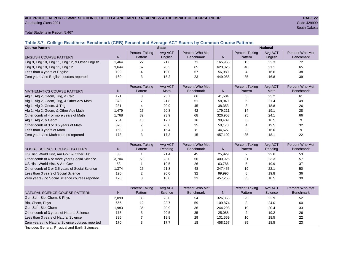#### **ACT PROFILE REPORT - State: SECTION III, COLLEGE AND CAREER READINESS & THE IMPACT OF COURSE RIGOR PAGE 22** Graduating Class 2021 Code 429999

South Dakota (1999) and the state of the state of the state of the state of the state of the South Dakota (199

Total Students in Report: 5,467

#### **Table 3.7. College Readiness Benchmark (CRB) Percent and Average ACT Scores by Common Course Patterns**

| <b>Course Pattern</b>                            |       |                                  | <b>State</b>       |                                     |         |                                  | <b>National</b>    |                                     |
|--------------------------------------------------|-------|----------------------------------|--------------------|-------------------------------------|---------|----------------------------------|--------------------|-------------------------------------|
|                                                  |       | <b>Percent Taking</b>            | Avg ACT            | Percent Who Met                     |         | <b>Percent Taking</b>            | Avg ACT            | Percent Who Met                     |
| <b>ENGLISH COURSE PATTERN</b>                    | N     | Pattern                          | English            | <b>Benchmark</b>                    | N       | Pattern                          | English            | <b>Benchmark</b>                    |
| Eng 9, Eng 10, Eng 11, Eng 12, & Other English   | 1,464 | 27                               | 21.6               | 71                                  | 165,958 | 13                               | 22.3               | 72                                  |
| Eng 9, Eng 10, Eng 11, Eng 12                    | 3,644 | 67                               | 20.3               | 65                                  | 623,323 | 48                               | 21.1               | 65                                  |
| Less than 4 years of English                     | 199   | $\overline{4}$                   | 19.0               | 57                                  | 56,980  | 4                                | 16.6               | 38                                  |
| Zero years / no English courses reported         | 160   | 3                                | 15.2               | 23                                  | 449,088 | 35                               | 16.8               | 39                                  |
|                                                  |       |                                  |                    |                                     |         |                                  |                    |                                     |
|                                                  |       | <b>Percent Taking</b>            | Avg ACT            | Percent Who Met                     |         | <b>Percent Taking</b>            | Avg ACT            | Percent Who Met                     |
| <b>MATHEMATICS COURSE PATTERN</b>                | N     | Pattern                          | Math               | <b>Benchmark</b>                    | N       | Pattern                          | Math               | <b>Benchmark</b>                    |
| Alg 1, Alg 2, Geom, Trig, & Calc                 | 171   | 3                                | 23.7               | 66                                  | 41,584  | 3                                | 23.2               | 61                                  |
| Alg 1, Alg 2, Geom, Trig, & Other Adv Math       | 373   | $\overline{7}$                   | 21.8               | 51                                  | 58,940  | 5                                | 21.4               | 49                                  |
| Alg 1, Alg 2, Geom, & Trig                       | 231   | 4                                | 20.9               | 45                                  | 38,353  | 3                                | 18.8               | 26                                  |
| Alg 1, Alg 2, Geom, & Other Adv Math             | 1,479 | 27                               | 20.8               | 42                                  | 179,211 | 14                               | 19.1               | 28                                  |
| Other comb of 4 or more years of Math            | 1,768 | 32                               | 23.9               | 68                                  | 326,953 | 25                               | 24.1               | 66                                  |
| Alg 1, Alg 2, & Geom                             | 734   | 13                               | 17.7               | 16                                  | 98,409  | 8                                | 16.5               | 9                                   |
| Other comb of 3 or 3.5 years of Math             | 370   | $\overline{7}$                   | 20.0               | 35                                  | 50,170  | 4                                | 19.5               | 32                                  |
| Less than 3 years of Math                        | 168   | 3                                | 16.4               | 8                                   | 44,627  | 3                                | 16.0               | 9                                   |
| Zero years / no Math courses reported            | 173   | 3                                | 17.3               | 15                                  | 457,102 | 35                               | 18.1               | 22                                  |
|                                                  |       |                                  |                    |                                     |         |                                  |                    |                                     |
|                                                  |       | <b>Percent Taking</b>            | Avg ACT            | Percent Who Met                     |         | <b>Percent Taking</b>            | Avg ACT            | Percent Who Met                     |
| SOCIAL SCIENCE COURSE PATTERN                    | N     | Pattern                          | Reading            | <b>Benchmark</b>                    | N       | Pattern                          | Reading            | <b>Benchmark</b>                    |
| US Hist, World Hist, Am Gov, & Other Hist        | 33    | -1                               | 21.4               | 45                                  | 25,929  | 2                                | 22.6               | 53                                  |
| Other comb of 4 or more years Social Science     | 3,704 | 68                               | 23.0               | 56                                  | 400,925 | 31                               | 23.3               | 57                                  |
| US Hist, World Hist, & Am Gov                    | 58    | $\mathbf{1}$                     | 19.5               | 26                                  | 63,786  | 5                                | 19.9               | 37                                  |
| Other comb of 3 or 3.5 years of Social Science   | 1,374 | 25                               | 21.8               | 48                                  | 247,455 | 19                               | 22.1               | 50                                  |
| Less than 3 years of Social Science              | 120   | $\overline{2}$                   | 20.0               | 32                                  | 99,996  | 8                                | 19.8               | 36                                  |
| Zero years / no Social Science courses reported  | 178   | 3                                | 18.0               | 23                                  | 457,258 | 35                               | 18.5               | 30                                  |
|                                                  |       |                                  |                    |                                     |         |                                  |                    |                                     |
|                                                  | N.    | <b>Percent Taking</b><br>Pattern | Avg ACT<br>Science | Percent Who Met<br><b>Benchmark</b> | N       | <b>Percent Taking</b><br>Pattern | Avg ACT<br>Science | Percent Who Met<br><b>Benchmark</b> |
| NATURAL SCIENCE COURSE PATTERN                   |       |                                  |                    |                                     |         |                                  |                    |                                     |
| Gen Sci <sup>1</sup> , Bio, Chem, & Phys         | 2,099 | 38                               | 23.0               | 54                                  | 326,363 | 25                               | 22.9               | 52                                  |
| Bio, Chem, Phys                                  | 656   | 12                               | 23.7               | 59                                  | 109.874 | 8                                | 24.0               | 60                                  |
| Gen Sci <sup>1</sup> , Bio, Chem                 | 1,983 | 36                               | 20.9               | 36                                  | 244,298 | 19                               | 20.4               | 33                                  |
| Other comb of 3 years of Natural Science         | 173   | 3                                | 20.5               | 35                                  | 25,088  | 2                                | 19.2               | 26                                  |
| Less than 3 years of Natural Science             | 386   | 7                                | 19.8               | 29                                  | 131,559 | 10                               | 18.5               | 22                                  |
| Zero years / no Natural Science courses reported | 170   | 3                                | 17.7               | 18                                  | 458,167 | 35                               | 18.5               | 23                                  |

<sup>1</sup>Includes General, Physical and Earth Sciences.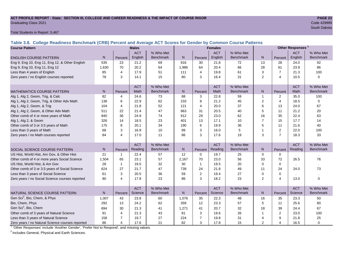#### **ACT PROFILE REPORT - State: SECTION III, COLLEGE AND CAREER READINESS & THE IMPACT OF COURSE RIGOR PAGE 23** Graduating Class 2021 Code 429999

South Dakota

#### Total Students in Report: 5,467

**Table 3.8. College Readiness Benchmark (CRB) Percent and Average ACT Scores for Gender by Common Course Patterns**

| <b>Course Pattern</b>                            |       |                       | <b>Males</b> |                  |              |                | <b>Females</b> |                  |                | Other Responses <sup>1</sup> |            |                  |
|--------------------------------------------------|-------|-----------------------|--------------|------------------|--------------|----------------|----------------|------------------|----------------|------------------------------|------------|------------------|
|                                                  |       |                       | <b>ACT</b>   | % Who Met        |              |                | <b>ACT</b>     | % Who Met        |                |                              | <b>ACT</b> | % Who Met        |
| <b>ENGLISH COURSE PATTERN</b>                    | N     | Percent               | English      | Benchmark        | $\mathsf{N}$ | Percent        | English        | <b>Benchmark</b> | N              | Percent                      | English    | <b>Benchmark</b> |
| Eng 9, Eng 10, Eng 11, Eng 12, & Other English   | 535   | 23                    | 21.2         | 69               | 916          | 30             | 21.8           | 72               | 13             | 28                           | 24.0       | 92               |
| Eng 9, Eng 10, Eng 11, Eng 12                    | 1,630 | 70                    | 20.2         | 64               | 1,986        | 64             | 20.4           | 66               | 28             | 61                           | 23.9       | 86               |
| Less than 4 years of English                     | 85    | $\overline{4}$        | 17.9         | 51               | 111          | $\overline{4}$ | 19.8           | 61               | 3              | $\overline{7}$               | 21.3       | 100              |
| Zero years / no English courses reported         | 78    | 3                     | 14.1         | 15               | 80           | 3              | 16.4           | 31               | 2              | $\overline{4}$               | 10.5       | $\mathbf 0$      |
|                                                  |       |                       | <b>ACT</b>   | % Who Met        |              |                | <b>ACT</b>     | % Who Met        |                |                              | <b>ACT</b> | % Who Met        |
| <b>MATHEMATICS COURSE PATTERN</b>                | N     | Percent               | Math         | <b>Benchmark</b> | N            | Percent        | Math           | <b>Benchmark</b> | N              | Percent                      | Math       | <b>Benchmark</b> |
| Alg 1, Alg 2, Geom, Trig, & Calc                 | 82    | 4                     | 24.6         | 73               | 88           | 3              | 22.8           | 59               | $\mathbf 1$    | 2                            | 35.0       | 100              |
| Alg 1, Alg 2, Geom, Trig, & Other Adv Math       | 138   | 6                     | 22.9         | 62               | 233          | 8              | 21.2           | 45               | 2              | 4                            | 18.5       | $\mathbf 0$      |
| Alg 1, Alg 2, Geom, & Trig                       | 104   | 4                     | 21.8         | 52               | 121          | $\overline{4}$ | 20.0           | 37               | 6              | 13                           | 24.0       | 67               |
| Alg 1, Alg 2, Geom, & Other Adv Math             | 511   | 22                    | 21.4         | 47               | 963          | 31             | 20.5           | 40               | 5              | 11                           | 21.2       | 20               |
| Other comb of 4 or more years of Math            | 840   | 36                    | 24.9         | 74               | 912          | 29             | 23.0           | 62               | 16             | 35                           | 22.4       | 63               |
| Alg 1, Alg 2, & Geom                             | 326   | 14                    | 18.5         | 23               | 401          | 13             | 17.1           | 10               | $\overline{7}$ | 15                           | 17.7       | 14               |
| Other comb of 3 or 3.5 years of Math             | 175   | 8                     | 20.1         | 34               | 190          | 6              | 19.9           | 36               | 5              | 11                           | 21.6       | 40               |
| Less than 3 years of Math                        | 68    | 3                     | 16.9         | 10               | 99           | 3              | 16.0           | 5                | $\overline{1}$ | $\overline{c}$               | 22.0       | 100              |
| Zero years / no Math courses reported            | 84    | 4                     | 17.0         | 11               | 86           | 3              | 17.6           | 19               | 3              | $\overline{7}$               | 18.3       | 33               |
|                                                  |       |                       | <b>ACT</b>   | % Who Met        |              |                | <b>ACT</b>     | % Who Met        |                |                              | <b>ACT</b> | % Who Met        |
| SOCIAL SCIENCE COURSE PATTERN                    | N     | Percent               | Reading      | <b>Benchmark</b> | N            | Percent        | Reading        | <b>Benchmark</b> | $\mathsf{N}$   | Percent                      | Reading    | <b>Benchmark</b> |
| US Hist, World Hist, Am Gov, & Other Hist        | 21    | $\mathbf{1}$          | 22.4         | 57               | 12           | 0              | 19.7           | 25               | $\mathbf 0$    | 0                            |            |                  |
| Other comb of 4 or more years Social Science     | 1,504 | 65                    | 23.1         | 57               | 2,167        | 70             | 23.0           | 56               | 33             | 72                           | 26.5       | 76               |
| US Hist, World Hist, & Am Gov                    | 28    | $\overline{1}$        | 19.5         | 32               | 30           | $\mathbf{1}$   | 19.5           | 20               | $\mathbf 0$    | 0                            |            |                  |
| Other comb of 3 or 3.5 years of Social Science   | 624   | 27                    | 21.7         | 47               | 739          | 24             | 21.8           | 49               | 11             | 24                           | 24.0       | 73               |
| Less than 3 years of Social Science              | 61    | 3                     | 20.5         | 36               | 59           | 2              | 19.4           | 27               | $\mathbf 0$    | $\mathbf 0$                  |            |                  |
| Zero years / no Social Science courses reported  | 90    | $\boldsymbol{\Delta}$ | 17.9         | 23               | 86           | 3              | 18.2           | 23               | 2              | $\overline{4}$               | 13.0       | $\Omega$         |
|                                                  |       |                       | <b>ACT</b>   | % Who Met        |              |                | <b>ACT</b>     | % Who Met        |                |                              | <b>ACT</b> | % Who Met        |
| NATURAL SCIENCE COURSE PATTERN                   | N     | Percent               | Science      | <b>Benchmark</b> | N            | Percent        | Science        | <b>Benchmark</b> | N              | Percent                      | Science    | Benchmark        |
| Gen Sci <sup>2</sup> , Bio, Chem, & Phys         | 1,007 | 43                    | 23.8         | 60               | 1,076        | 35             | 22.3           | 48               | 16             | 35                           | 23.3       | 50               |
| Bio, Chem, Phys                                  | 292   | 13                    | 24.2         | 62               | 359          | 12             | 23.3           | 57               | 5              | 11                           | 25.6       | 80               |
| Gen Sci <sup>1</sup> , Bio, Chem                 | 694   | 30                    | 21.3         | 41               | 1,271        | 41             | 20.7           | 32               | 18             | 39                           | 24.4       | 67               |
| Other comb of 3 years of Natural Science         | 91    | $\overline{4}$        | 21.3         | 43               | 81           | 3              | 19.6           | 26               | 1              | $\overline{c}$               | 23.0       | 100              |
| Less than 3 years of Natural Science             | 158   | $\overline{7}$        | 19.7         | 27               | 224          | $\overline{7}$ | 19.8           | 31               | 4              | 9                            | 21.8       | 25               |
| Zero years / no Natural Science courses reported | 86    | 4                     | 17.6         | 21               | 82           | 3              | 17.8           | 15               | 2              | 4                            | 16.5       | $\mathbf 0$      |

<sup>1</sup> 'Other Responses' include 'Another Gender', 'Prefer Not to Respond', and missing values.

 $2$  Includes General, Physical and Earth Sciences.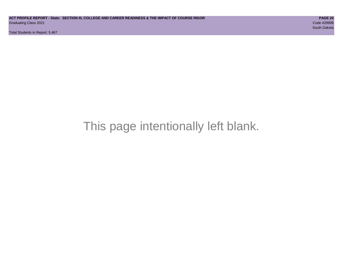## This page intentionally left blank.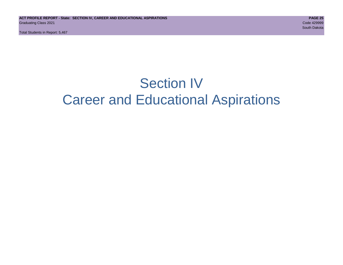# Section IV Career and Educational Aspirations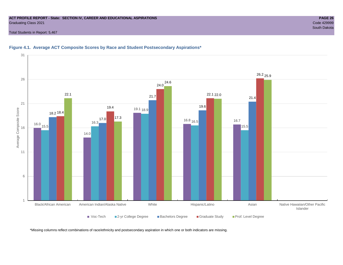#### **ACT PROFILE REPORT - State: SECTION IV, CAREER AND EDUCATIONAL ASPIRATIONS PAGE 26** Graduating Class 2021 Code 429999

#### Total Students in Report: 5,467





\*Missing columns reflect combinations of race/ethnicity and postsecondary aspiration in which one or both indicators are missing.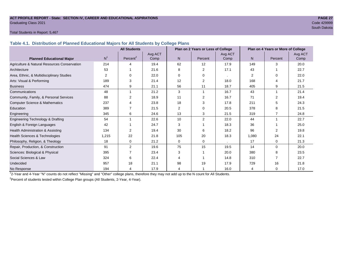#### **ACT PROFILE REPORT - State: SECTION IV, CAREER AND EDUCATIONAL ASPIRATIONS PAGE 27** Graduating Class 2021 Code 429999

#### Total Students in Report: 5,467

**Table 4.1. Distribution of Planned Educational Majors for All Students by College Plans**

|                                              |                | <b>All Students</b>  |                 | Plan on 2 Years or Less of College |                |                 | Plan on 4 Years or More of College |          |                 |  |
|----------------------------------------------|----------------|----------------------|-----------------|------------------------------------|----------------|-----------------|------------------------------------|----------|-----------------|--|
| <b>Planned Educational Major</b>             | N <sup>1</sup> | Percent <sup>2</sup> | Avg ACT<br>Comp | N                                  | Percent        | Avg ACT<br>Comp | N                                  | Percent  | Avg ACT<br>Comp |  |
| Agriculture & Natural Resources Conservation | 214            | $\Delta$             | 19.4            | 62                                 | 12             | 17.9            | 149                                | 3        | 20.0            |  |
| Architecture                                 | 53             |                      | 21.6            | 8                                  | 2              | 17.1            | 43                                 |          | 22.7            |  |
| Area, Ethnic, & Multidisciplinary Studies    | 2              | $\Omega$             | 22.0            | $\Omega$                           | $\Omega$       |                 | 2                                  | 0        | 22.0            |  |
| Arts: Visual & Performing                    | 189            | 3                    | 21.4            | 12                                 | $\overline{2}$ | 18.0            | 168                                | 4        | 21.7            |  |
| <b>Business</b>                              | 474            | 9                    | 21.1            | 56                                 | 11             | 18.7            | 405                                | 9        | 21.5            |  |
| Communications                               | 48             |                      | 21.2            | 3                                  | $\overline{1}$ | 16.7            | 43                                 | 1        | 21.4            |  |
| Community, Family, & Personal Services       | 88             | $\overline{2}$       | 18.9            | 11                                 | $\overline{2}$ | 16.7            | 71                                 | 2        | 19.4            |  |
| <b>Computer Science &amp; Mathematics</b>    | 237            |                      | 23.8            | 18                                 | 3              | 17.8            | 211                                | 5        | 24.3            |  |
| Education                                    | 389            |                      | 21.5            | 2                                  | $\Omega$       | 20.5            | 378                                | 8        | 21.5            |  |
| Engineering                                  | 345            | 6                    | 24.6            | 13                                 | 3              | 21.5            | 319                                |          | 24.8            |  |
| Engineering Technology & Drafting            | 54             |                      | 22.6            | 10                                 | $\overline{2}$ | 22.0            | 44                                 |          | 22.7            |  |
| English & Foreign Languages                  | 42             |                      | 24.7            | 3                                  |                | 18.3            | 36                                 |          | 25.0            |  |
| Health Administration & Assisting            | 134            | 2                    | 19.4            | 30                                 | 6              | 18.2            | 96                                 | 2        | 19.8            |  |
| Health Sciences & Technologies               | 1,215          | 22                   | 21.8            | 105                                | 20             | 18.3            | 1,080                              | 24       | 22.1            |  |
| Philosophy, Religion, & Theology             | 18             | $\mathbf 0$          | 21.2            | 0                                  | 0              |                 | 17                                 | 0        | 21.3            |  |
| Repair, Production, & Construction           | 91             | 2                    | 19.6            | 75                                 | 15             | 19.5            | 14                                 | $\Omega$ | 20.0            |  |
| Sciences: Biological & Physical              | 395            |                      | 23.4            | 3                                  |                | 20.0            | 380                                | 8        | 23.5            |  |
| Social Sciences & Law                        | 324            | 6                    | 22.4            | Δ                                  |                | 14.8            | 310                                |          | 22.7            |  |
| Undecided                                    | 957            | 18                   | 21.1            | 98                                 | 19             | 17.9            | 729                                | 16       | 21.8            |  |
| No Response                                  | 194            |                      | 17.9            |                                    |                | 16.0            |                                    | 0        | 17.0            |  |

1 2-Year and 4-Year "N" counts do not reflect "Missing" and "Other" college plans, therefore they may not add up to the N count for All Students.

<sup>2</sup> Percent of students tested within College Plan groups (All Students, 2-Year, 4-Year).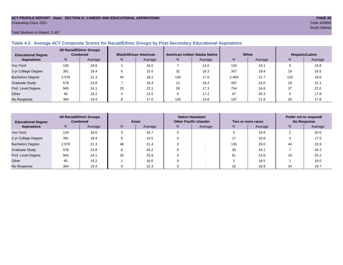#### **ACT PROFILE REPORT - State: SECTION IV, CAREER AND EDUCATIONAL ASPIRATIONS PAGE 28** Graduating Class 2021 Code 429999

#### Total Students in Report: 5,467

**Table 4.2. Average ACT Composite Scores for Racial/Ethnic Groups by Post-Secondary Educational Aspirations**

| <b>All Racial/Ethnic Groups</b><br><b>Combined</b><br><b>Educational Degree</b> |                |         |    | <b>Black/African American</b> | American Indian/ Alaska Native |         | White |         | Hispanic/Latino |         |  |
|---------------------------------------------------------------------------------|----------------|---------|----|-------------------------------|--------------------------------|---------|-------|---------|-----------------|---------|--|
| <b>Aspirations</b>                                                              | N <sub>1</sub> | Average | N. | Average                       | N                              | Average | N     | Average | N.              | Average |  |
| Voc-Tech                                                                        | 126            | 18.6    |    | 16.0                          |                                | 14.0    | 103   | 19.1    | h               | 16.8    |  |
| 2-yr College Degree                                                             | 391            | 18.4    | 6  | 15.5                          | 32                             | 16.3    | 307   | 18.9    | 19              | 16.5    |  |
| <b>Bachelors Degree</b>                                                         | 2,978          | 21.3    | 45 | 18.2                          | 134                            | 17.0    | 2.459 | 21.7    | 120             | 19.6    |  |
| <b>Graduate Study</b>                                                           | 578            | 23.8    |    | 18.4                          | $12 \overline{ }$              | 19.4    | 497   | 24.0    | 19              | 22.1    |  |
| Prof. Level Degree                                                              | 945            | 24.1    | 20 | 22.1                          | 28                             | 17.3    | 754   | 24.6    | 37              | 22.0    |  |
| Other                                                                           | 65             | 19.2    |    | 13.5                          |                                | 17.2    | 47    | 20.3    |                 | 17.8    |  |
| No Response                                                                     | 384            | 19.4    |    | 17.0                          | 100                            | 14.8    | 197   | 21.8    | 20              | 17.8    |  |

| <b>All Racial/Ethnic Groups</b><br><b>Combined</b><br><b>Educational Degree</b> |                | Asian   |    | <b>Native Hawaiian/</b><br><b>Other Pacific Islander</b> |    | Two or more races |     | Prefer not to respond/<br><b>No Response</b> |    |         |
|---------------------------------------------------------------------------------|----------------|---------|----|----------------------------------------------------------|----|-------------------|-----|----------------------------------------------|----|---------|
| <b>Aspirations</b>                                                              | N <sub>1</sub> | Average | N  | Average                                                  | N. | Average           | N   | Average                                      | N  | Average |
| Voc-Tech                                                                        | 126            | 18.6    |    | 16.7                                                     |    |                   |     | 16.8                                         |    | 20.0    |
| 2-yr College Degree                                                             | 391            | 18.4    | 6  | 15.5                                                     |    |                   | 17  | 16.8                                         |    | 17.5    |
| <b>Bachelors Degree</b>                                                         | 2,978          | 21.3    | 46 | 21.4                                                     |    |                   | 130 | 20.0                                         | 44 | 23.9    |
| <b>Graduate Study</b>                                                           | 578            | 23.8    | 6  | 26.2                                                     |    |                   | 30  | 24.1                                         |    | 26.3    |
| Prof. Level Degree                                                              | 945            | 24.1    | 26 | 25.9                                                     |    |                   | 61  | 22.6                                         |    | 25.2    |
| Other                                                                           | 65             | 19.2    |    | 16.0                                                     |    |                   |     | 16.5                                         |    | 16.0    |
| No Response                                                                     | 384            | 19.4    | 9  | 22.3                                                     |    |                   | 16  | 18.9                                         | 34 | 19.7    |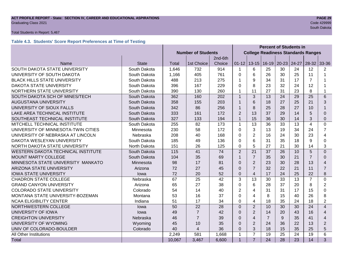### **ACT PROFILE REPORT - State: SECTION IV, CAREER AND EDUCATIONAL ASPIRATIONS PAGE 29** Graduating Class 2021 Code 429999

#### Total Students in Report: 5,467

#### **Table 4.3. Students' Score Report Preferences at Time of Testing**

|                                     |              |        |                           |         | <b>Percent of Students in</b>             |                          |                |           |       |                |                |
|-------------------------------------|--------------|--------|---------------------------|---------|-------------------------------------------|--------------------------|----------------|-----------|-------|----------------|----------------|
|                                     |              |        | <b>Number of Students</b> |         | <b>College Readiness Standards Ranges</b> |                          |                |           |       |                |                |
|                                     |              |        |                           | 2nd-6th |                                           |                          |                |           |       |                |                |
| Name                                | <b>State</b> | Total  | 1st Choice                | Choice  | $01 - 12$                                 | $13 - 15$                | $16 - 19$      | $20 - 23$ | 24-27 | $28-32$        | 33-36          |
| SOUTH DAKOTA STATE UNIVERSITY       | South Dakota | 1,646  | 732                       | 914     | $\mathbf 1$                               | 6                        | 25             | 30        | 24    | 12             | 2              |
| UNIVERSITY OF SOUTH DAKOTA          | South Dakota | 1,166  | 405                       | 761     | $\Omega$                                  | 6                        | 26             | 30        | 25    | 11             | 1              |
| <b>BLACK HILLS STATE UNIVERSITY</b> | South Dakota | 488    | 213                       | 275     | 1                                         | 9                        | 34             | 31        | 17    | $\overline{7}$ |                |
| DAKOTA STATE UNIVERSITY             | South Dakota | 396    | 167                       | 229     | $\Omega$                                  | 8                        | 23             | 32        | 24    | 12             |                |
| NORTHERN STATE UNIVERSITY           | South Dakota | 390    | 130                       | 260     | 1                                         | 11                       | 27             | 31        | 23    | 8              |                |
| SOUTH DAKOTA SCH OF MINES/TECH      | South Dakota | 362    | 160                       | 202     | $\overline{1}$                            | 3                        | 13             | 24        | 29    | 25             | 6              |
| AUGUSTANA UNIVERSITY                | South Dakota | 358    | 155                       | 203     | $\mathbf{1}$                              | 6                        | 18             | 27        | 25    | 21             | 3              |
| UNIVERSITY OF SIOUX FALLS           | South Dakota | 342    | 86                        | 256     | $\mathbf{1}$                              | 8                        | 25             | 28        | 27    | 10             | 1              |
| LAKE AREA TECHNICAL INSTITUTE       | South Dakota | 333    | 161                       | 172     | $\overline{2}$                            | 13                       | 37             | 29        | 14    | 5              | $\mathbf 0$    |
| SOUTHEAST TECHNICAL INSTITUTE       | South Dakota | 327    | 133                       | 194     | $\mathbf{1}$                              | 15                       | 36             | 30        | 14    | 3              | $\pmb{0}$      |
| MITCHELL TECHNICAL INSTITUTE        | South Dakota | 255    | 82                        | 173     | $\mathbf{1}$                              | 13                       | 36             | 33        | 13    | $\overline{4}$ | $\overline{0}$ |
| UNIVERSITY OF MINNESOTA-TWIN CITIES | Minnesota    | 230    | 58                        | 172     | $\Omega$                                  | 3                        | 13             | 19        | 34    | 24             | $\overline{7}$ |
| UNIVERSITY OF NEBRASKA AT LINCOLN   | Nebraska     | 208    | 40                        | 168     | $\Omega$                                  | $\overline{2}$           | 16             | 24        | 30    | 23             | $\overline{4}$ |
| DAKOTA WESLEYAN UNIVERSITY          | South Dakota | 185    | 49                        | 136     | $\Omega$                                  | 6                        | 31             | 35        | 18    | 9              | $\Omega$       |
| NORTH DAKOTA STATE UNIVERSITY       | North Dakota | 151    | 26                        | 125     | $\mathbf 0$                               | 5                        | 27             | 21        | 30    | 14             | 3              |
| WESTERN DAKOTA TECHNICAL INSTITUTE  | South Dakota | 115    | 41                        | 74      | $\overline{2}$                            | 21                       | 37             | 26        | 10    | 5              | $\overline{0}$ |
| <b>MOUNT MARTY COLLEGE</b>          | South Dakota | 104    | 35                        | 69      | 1                                         | $\overline{7}$           | 35             | 30        | 21    | $\overline{7}$ | $\Omega$       |
| MINNESOTA STATE UNIVERSITY MANKATO  | Minnesota    | 98     | 17                        | 81      | $\Omega$                                  | $\overline{2}$           | 23             | 30        | 28    | 13             | $\overline{4}$ |
| <b>ARIZONA STATE UNIVERSITY</b>     | Arizona      | 72     | 27                        | 45      | $\Omega$                                  | $\overline{7}$           | 32             | 22        | 21    | 11             | $\overline{7}$ |
| <b>IOWA STATE UNIVERSITY</b>        | lowa         | 72     | 20                        | 52      | $\mathbf{0}$                              | $\overline{4}$           | 17             | 24        | 25    | 22             | 8              |
| <b>CHADRON STATE COLLEGE</b>        | Nebraska     | 67     | 25                        | 42      | 3                                         | 13                       | 30             | 33        | 13    | $\overline{7}$ | $\overline{0}$ |
| <b>GRAND CANYON UNIVERSITY</b>      | Arizona      | 65     | 27                        | 38      | 0                                         | 6                        | 28             | 37        | 20    | 8              | $\overline{2}$ |
| <b>COLORADO STATE UNIVERSITY</b>    | Colorado     | 54     | 14                        | 40      | $\overline{2}$                            | 4                        | 31             | 31        | 17    | 15             | $\Omega$       |
| MONTANA STATE UNIVERSITY-BOZEMAN    | Montana      | 53     | 16                        | 37      | $\mathbf 0$                               | 4                        | 8              | 15        | 40    | 26             | 8              |
| <b>NCAA ELIGIBILITY CENTER</b>      | Indiana      | 51     | 17                        | 34      | $\Omega$                                  | 4                        | 18             | 35        | 24    | 18             | $\overline{2}$ |
| NORTHWESTERN COLLEGE                | lowa         | 50     | 22                        | 28      | $\overline{0}$                            | $\overline{2}$           | 10             | 30        | 30    | 24             | $\overline{4}$ |
| UNIVERSITY OF IOWA                  | lowa         | 49     | $\overline{7}$            | 42      | $\Omega$                                  | $\overline{2}$           | 14             | 20        | 43    | 16             | $\overline{4}$ |
| <b>CREIGHTON UNIVERSITY</b>         | Nebraska     | 46     | $\overline{7}$            | 39      | $\Omega$                                  | $\overline{\mathcal{L}}$ | $\overline{7}$ | 9         | 35    | 41             | 4              |
| UNIVERSITY OF WYOMING               | Wyoming      | 45     | 10                        | 35      | $\Omega$                                  | $\overline{2}$           | 24             | 36        | 22    | 13             | $\overline{2}$ |
| UNIV OF COLORADO-BOULDER            | Colorado     | 40     | $\overline{4}$            | 36      | $\mathbf{0}$                              | 3                        | 18             | 15        | 35    | 25             | 5              |
| All Other Institutions              |              | 2,249  | 581                       | 1,668   | $\mathbf 1$                               | $\overline{7}$           | 19             | 25        | 24    | 19             | 6              |
| <b>Total</b>                        |              | 10,067 | 3,467                     | 6,600   | $\mathbf{1}$                              | $\overline{7}$           | 24             | 28        | 23    | 14             | 3              |

South Dakota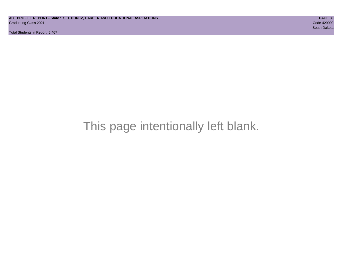**ACT PROFILE REPORT - State : SECTION IV, CAREER AND EDUCATIONAL ASPIRATIONS PAGE 30** Graduating Class 2021 Code 429999

Total Students in Report: 5,467

## This page intentionally left blank.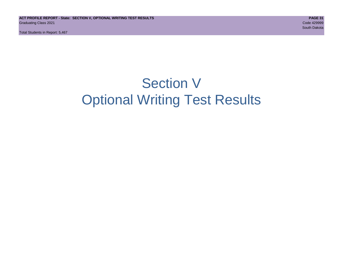# Section V Optional Writing Test Results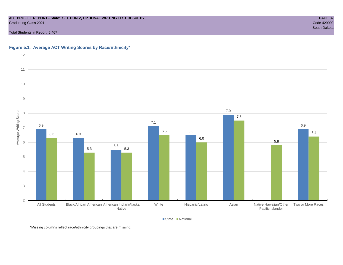#### **ACT PROFILE REPORT - State: SECTION V, OPTIONAL WRITING TEST RESULTS PAGE 32** Graduating Class 2021 Code 429999

Total Students in Report: 5,467

#### **Figure 5.1. Average ACT Writing Scores by Race/Ethnicity\***



■State ■National

\*Missing columns reflect race/ethnicity groupings that are missing.